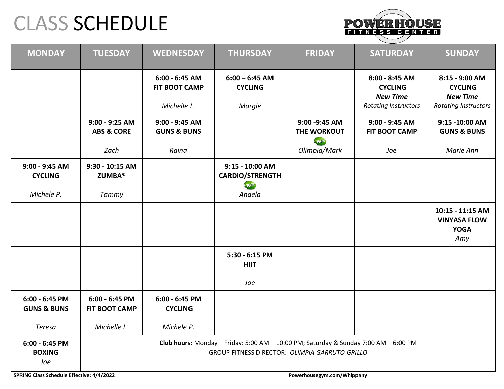## CLASS SCHEDULE



| <b>MONDAY</b>                              | <b>TUESDAY</b>                                                                                                                         | <b>WEDNESDAY</b>                         | <b>THURSDAY</b>                                          | <b>FRIDAY</b>                        | <b>SATURDAY</b>                                     | <b>SUNDAY</b>                                                 |
|--------------------------------------------|----------------------------------------------------------------------------------------------------------------------------------------|------------------------------------------|----------------------------------------------------------|--------------------------------------|-----------------------------------------------------|---------------------------------------------------------------|
|                                            |                                                                                                                                        | $6:00 - 6:45$ AM<br><b>FIT BOOT CAMP</b> | $6:00 - 6:45$ AM<br><b>CYCLING</b>                       |                                      | 8:00 - 8:45 AM<br><b>CYCLING</b><br><b>New Time</b> | 8:15 - 9:00 AM<br><b>CYCLING</b><br><b>New Time</b>           |
|                                            |                                                                                                                                        | Michelle L.                              | Margie                                                   |                                      | <b>Rotating Instructors</b>                         | <b>Rotating Instructors</b>                                   |
|                                            | 9:00 - 9:25 AM<br><b>ABS &amp; CORE</b>                                                                                                | 9:00 - 9:45 AM<br><b>GUNS &amp; BUNS</b> |                                                          | 9:00 - 9:45 AM<br>THE WORKOUT<br>NEW | $9:00 - 9:45$ AM<br>FIT BOOT CAMP                   | 9:15 -10:00 AM<br><b>GUNS &amp; BUNS</b>                      |
|                                            | Zach                                                                                                                                   | Raina                                    |                                                          | Olimpia/Mark                         | Joe                                                 | Marie Ann                                                     |
| 9:00 - 9:45 AM<br><b>CYCLING</b>           | 9:30 - 10:15 AM<br><b>ZUMBA®</b>                                                                                                       |                                          | 9:15 - 10:00 AM<br><b>CARDIO/STRENGTH</b><br><b>MENT</b> |                                      |                                                     |                                                               |
| Michele P.                                 | Tammy                                                                                                                                  |                                          | Angela                                                   |                                      |                                                     |                                                               |
|                                            |                                                                                                                                        |                                          |                                                          |                                      |                                                     | 10:15 - 11:15 AM<br><b>VINYASA FLOW</b><br><b>YOGA</b><br>Amy |
|                                            |                                                                                                                                        |                                          | 5:30 - 6:15 PM<br><b>HIIT</b>                            |                                      |                                                     |                                                               |
|                                            |                                                                                                                                        |                                          | Joe                                                      |                                      |                                                     |                                                               |
| $6:00 - 6:45$ PM<br><b>GUNS &amp; BUNS</b> | $6:00 - 6:45$ PM<br><b>FIT BOOT CAMP</b>                                                                                               | $6:00 - 6:45$ PM<br><b>CYCLING</b>       |                                                          |                                      |                                                     |                                                               |
| Teresa                                     | Michelle L.                                                                                                                            | Michele P.                               |                                                          |                                      |                                                     |                                                               |
| 6:00 - 6:45 PM<br><b>BOXING</b><br>Joe     | Club hours: Monday - Friday: 5:00 AM - 10:00 PM; Saturday & Sunday 7:00 AM - 6:00 PM<br>GROUP FITNESS DIRECTOR: OLIMPIA GARRUTO-GRILLO |                                          |                                                          |                                      |                                                     |                                                               |

**SPRING Class Schedule Effective: 4/4/2022 Powerhousegym.com/Whippany**